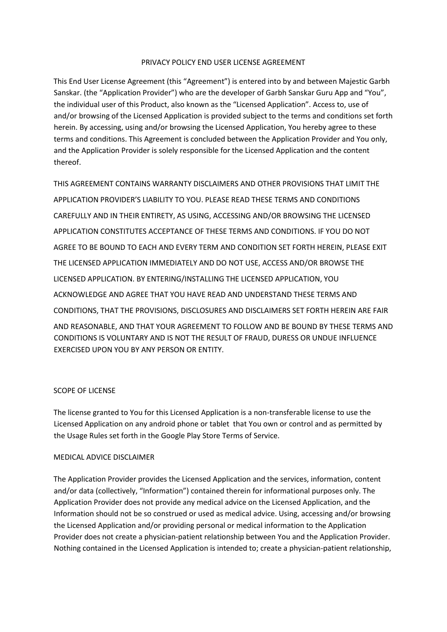### PRIVACY POLICY END USER LICENSE AGREEMENT

This End User License Agreement (this "Agreement") is entered into by and between Majestic Garbh Sanskar. (the "Application Provider") who are the developer of Garbh Sanskar Guru App and "You", the individual user of this Product, also known as the "Licensed Application". Access to, use of and/or browsing of the Licensed Application is provided subject to the terms and conditions set forth herein. By accessing, using and/or browsing the Licensed Application, You hereby agree to these terms and conditions. This Agreement is concluded between the Application Provider and You only, and the Application Provider is solely responsible for the Licensed Application and the content thereof.

THIS AGREEMENT CONTAINS WARRANTY DISCLAIMERS AND OTHER PROVISIONS THAT LIMIT THE APPLICATION PROVIDER'S LIABILITY TO YOU. PLEASE READ THESE TERMS AND CONDITIONS CAREFULLY AND IN THEIR ENTIRETY, AS USING, ACCESSING AND/OR BROWSING THE LICENSED APPLICATION CONSTITUTES ACCEPTANCE OF THESE TERMS AND CONDITIONS. IF YOU DO NOT AGREE TO BE BOUND TO EACH AND EVERY TERM AND CONDITION SET FORTH HEREIN, PLEASE EXIT THE LICENSED APPLICATION IMMEDIATELY AND DO NOT USE, ACCESS AND/OR BROWSE THE LICENSED APPLICATION. BY ENTERING/INSTALLING THE LICENSED APPLICATION, YOU ACKNOWLEDGE AND AGREE THAT YOU HAVE READ AND UNDERSTAND THESE TERMS AND CONDITIONS, THAT THE PROVISIONS, DISCLOSURES AND DISCLAIMERS SET FORTH HEREIN ARE FAIR

AND REASONABLE, AND THAT YOUR AGREEMENT TO FOLLOW AND BE BOUND BY THESE TERMS AND CONDITIONS IS VOLUNTARY AND IS NOT THE RESULT OF FRAUD, DURESS OR UNDUE INFLUENCE EXERCISED UPON YOU BY ANY PERSON OR ENTITY.

# SCOPE OF LICENSE

The license granted to You for this Licensed Application is a non-transferable license to use the Licensed Application on any android phone or tablet that You own or control and as permitted by the Usage Rules set forth in the Google Play Store Terms of Service.

# MEDICAL ADVICE DISCLAIMER

The Application Provider provides the Licensed Application and the services, information, content and/or data (collectively, "Information") contained therein for informational purposes only. The Application Provider does not provide any medical advice on the Licensed Application, and the Information should not be so construed or used as medical advice. Using, accessing and/or browsing the Licensed Application and/or providing personal or medical information to the Application Provider does not create a physician-patient relationship between You and the Application Provider. Nothing contained in the Licensed Application is intended to; create a physician-patient relationship,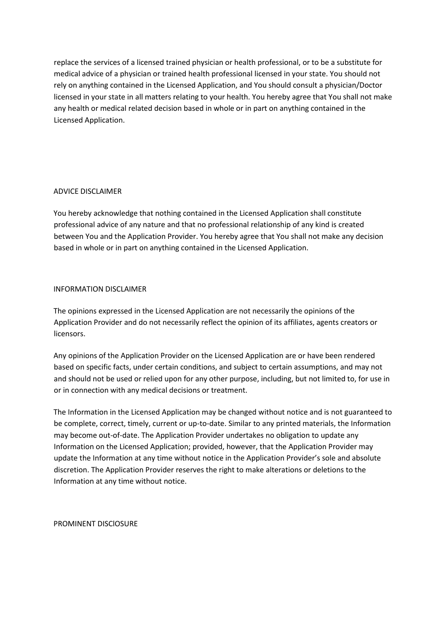replace the services of a licensed trained physician or health professional, or to be a substitute for medical advice of a physician or trained health professional licensed in your state. You should not rely on anything contained in the Licensed Application, and You should consult a physician/Doctor licensed in your state in all matters relating to your health. You hereby agree that You shall not make any health or medical related decision based in whole or in part on anything contained in the Licensed Application.

# ADVICE DISCLAIMER

You hereby acknowledge that nothing contained in the Licensed Application shall constitute professional advice of any nature and that no professional relationship of any kind is created between You and the Application Provider. You hereby agree that You shall not make any decision based in whole or in part on anything contained in the Licensed Application.

### INFORMATION DISCLAIMER

The opinions expressed in the Licensed Application are not necessarily the opinions of the Application Provider and do not necessarily reflect the opinion of its affiliates, agents creators or licensors.

Any opinions of the Application Provider on the Licensed Application are or have been rendered based on specific facts, under certain conditions, and subject to certain assumptions, and may not and should not be used or relied upon for any other purpose, including, but not limited to, for use in or in connection with any medical decisions or treatment.

The Information in the Licensed Application may be changed without notice and is not guaranteed to be complete, correct, timely, current or up-to-date. Similar to any printed materials, the Information may become out-of-date. The Application Provider undertakes no obligation to update any Information on the Licensed Application; provided, however, that the Application Provider may update the Information at any time without notice in the Application Provider's sole and absolute discretion. The Application Provider reserves the right to make alterations or deletions to the Information at any time without notice.

PROMINENT DISCIOSURE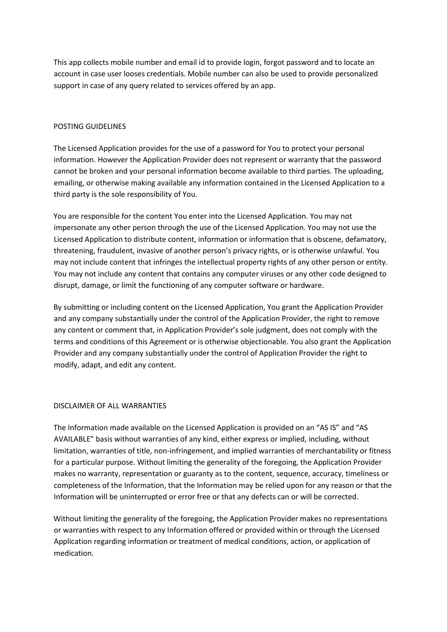This app collects mobile number and email id to provide login, forgot password and to locate an account in case user looses credentials. Mobile number can also be used to provide personalized support in case of any query related to services offered by an app.

# POSTING GUIDELINES

The Licensed Application provides for the use of a password for You to protect your personal information. However the Application Provider does not represent or warranty that the password cannot be broken and your personal information become available to third parties. The uploading, emailing, or otherwise making available any information contained in the Licensed Application to a third party is the sole responsibility of You.

You are responsible for the content You enter into the Licensed Application. You may not impersonate any other person through the use of the Licensed Application. You may not use the Licensed Application to distribute content, information or information that is obscene, defamatory, threatening, fraudulent, invasive of another person's privacy rights, or is otherwise unlawful. You may not include content that infringes the intellectual property rights of any other person or entity. You may not include any content that contains any computer viruses or any other code designed to disrupt, damage, or limit the functioning of any computer software or hardware.

By submitting or including content on the Licensed Application, You grant the Application Provider and any company substantially under the control of the Application Provider, the right to remove any content or comment that, in Application Provider's sole judgment, does not comply with the terms and conditions of this Agreement or is otherwise objectionable. You also grant the Application Provider and any company substantially under the control of Application Provider the right to modify, adapt, and edit any content.

# DISCLAIMER OF ALL WARRANTIES

The Information made available on the Licensed Application is provided on an "AS IS" and "AS AVAILABLE" basis without warranties of any kind, either express or implied, including, without limitation, warranties of title, non-infringement, and implied warranties of merchantability or fitness for a particular purpose. Without limiting the generality of the foregoing, the Application Provider makes no warranty, representation or guaranty as to the content, sequence, accuracy, timeliness or completeness of the Information, that the Information may be relied upon for any reason or that the Information will be uninterrupted or error free or that any defects can or will be corrected.

Without limiting the generality of the foregoing, the Application Provider makes no representations or warranties with respect to any Information offered or provided within or through the Licensed Application regarding information or treatment of medical conditions, action, or application of medication.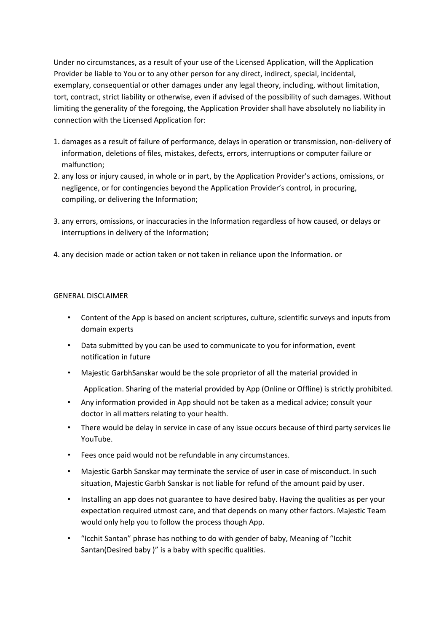Under no circumstances, as a result of your use of the Licensed Application, will the Application Provider be liable to You or to any other person for any direct, indirect, special, incidental, exemplary, consequential or other damages under any legal theory, including, without limitation, tort, contract, strict liability or otherwise, even if advised of the possibility of such damages. Without limiting the generality of the foregoing, the Application Provider shall have absolutely no liability in connection with the Licensed Application for:

- 1. damages as a result of failure of performance, delays in operation or transmission, non-delivery of information, deletions of files, mistakes, defects, errors, interruptions or computer failure or malfunction;
- 2. any loss or injury caused, in whole or in part, by the Application Provider's actions, omissions, or negligence, or for contingencies beyond the Application Provider's control, in procuring, compiling, or delivering the Information;
- 3. any errors, omissions, or inaccuracies in the Information regardless of how caused, or delays or interruptions in delivery of the Information;
- 4. any decision made or action taken or not taken in reliance upon the Information. or

# GENERAL DISCLAIMER

- Content of the App is based on ancient scriptures, culture, scientific surveys and inputs from domain experts
- Data submitted by you can be used to communicate to you for information, event notification in future
- Majestic GarbhSanskar would be the sole proprietor of all the material provided in
	- Application. Sharing of the material provided by App (Online or Offline) is strictly prohibited.
- Any information provided in App should not be taken as a medical advice; consult your doctor in all matters relating to your health.
- There would be delay in service in case of any issue occurs because of third party services lie YouTube.
- Fees once paid would not be refundable in any circumstances.
- Majestic Garbh Sanskar may terminate the service of user in case of misconduct. In such situation, Majestic Garbh Sanskar is not liable for refund of the amount paid by user.
- Installing an app does not guarantee to have desired baby. Having the qualities as per your expectation required utmost care, and that depends on many other factors. Majestic Team would only help you to follow the process though App.
- "Icchit Santan" phrase has nothing to do with gender of baby, Meaning of "Icchit Santan(Desired baby )" is a baby with specific qualities.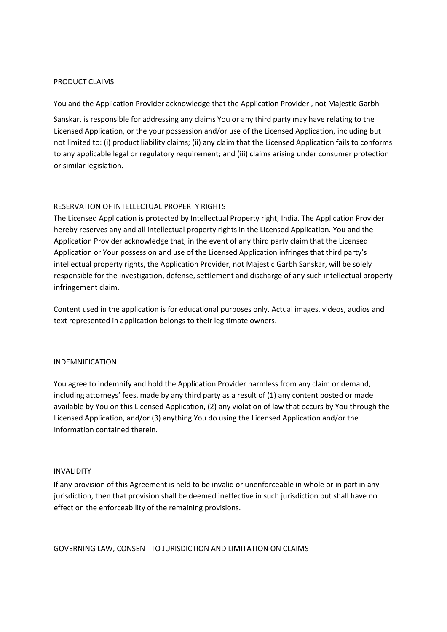#### PRODUCT CLAIMS

You and the Application Provider acknowledge that the Application Provider , not Majestic Garbh

Sanskar, is responsible for addressing any claims You or any third party may have relating to the Licensed Application, or the your possession and/or use of the Licensed Application, including but not limited to: (i) product liability claims; (ii) any claim that the Licensed Application fails to conforms to any applicable legal or regulatory requirement; and (iii) claims arising under consumer protection or similar legislation.

### RESERVATION OF INTELLECTUAL PROPERTY RIGHTS

The Licensed Application is protected by Intellectual Property right, India. The Application Provider hereby reserves any and all intellectual property rights in the Licensed Application. You and the Application Provider acknowledge that, in the event of any third party claim that the Licensed Application or Your possession and use of the Licensed Application infringes that third party's intellectual property rights, the Application Provider, not Majestic Garbh Sanskar, will be solely responsible for the investigation, defense, settlement and discharge of any such intellectual property infringement claim.

Content used in the application is for educational purposes only. Actual images, videos, audios and text represented in application belongs to their legitimate owners.

#### INDEMNIFICATION

You agree to indemnify and hold the Application Provider harmless from any claim or demand, including attorneys' fees, made by any third party as a result of (1) any content posted or made available by You on this Licensed Application, (2) any violation of law that occurs by You through the Licensed Application, and/or (3) anything You do using the Licensed Application and/or the Information contained therein.

### INVALIDITY

If any provision of this Agreement is held to be invalid or unenforceable in whole or in part in any jurisdiction, then that provision shall be deemed ineffective in such jurisdiction but shall have no effect on the enforceability of the remaining provisions.

GOVERNING LAW, CONSENT TO JURISDICTION AND LIMITATION ON CLAIMS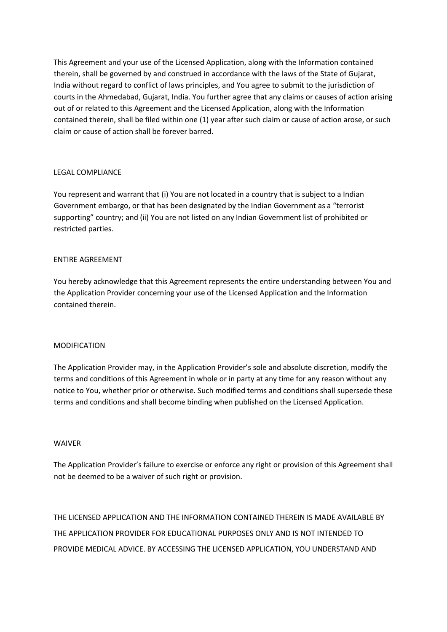This Agreement and your use of the Licensed Application, along with the Information contained therein, shall be governed by and construed in accordance with the laws of the State of Gujarat, India without regard to conflict of laws principles, and You agree to submit to the jurisdiction of courts in the Ahmedabad, Gujarat, India. You further agree that any claims or causes of action arising out of or related to this Agreement and the Licensed Application, along with the Information contained therein, shall be filed within one (1) year after such claim or cause of action arose, or such claim or cause of action shall be forever barred.

# LEGAL COMPLIANCE

You represent and warrant that (i) You are not located in a country that is subject to a Indian Government embargo, or that has been designated by the Indian Government as a "terrorist supporting" country; and (ii) You are not listed on any Indian Government list of prohibited or restricted parties.

### ENTIRE AGREEMENT

You hereby acknowledge that this Agreement represents the entire understanding between You and the Application Provider concerning your use of the Licensed Application and the Information contained therein.

### MODIFICATION

The Application Provider may, in the Application Provider's sole and absolute discretion, modify the terms and conditions of this Agreement in whole or in party at any time for any reason without any notice to You, whether prior or otherwise. Such modified terms and conditions shall supersede these terms and conditions and shall become binding when published on the Licensed Application.

### WAIVER

The Application Provider's failure to exercise or enforce any right or provision of this Agreement shall not be deemed to be a waiver of such right or provision.

THE LICENSED APPLICATION AND THE INFORMATION CONTAINED THEREIN IS MADE AVAILABLE BY THE APPLICATION PROVIDER FOR EDUCATIONAL PURPOSES ONLY AND IS NOT INTENDED TO PROVIDE MEDICAL ADVICE. BY ACCESSING THE LICENSED APPLICATION, YOU UNDERSTAND AND